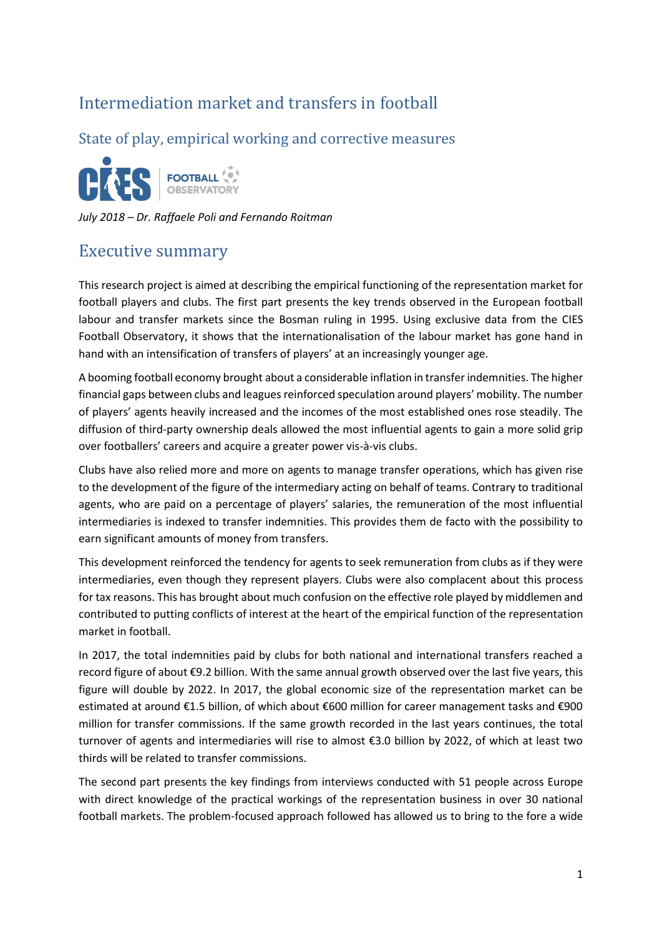## Intermediation market and transfers in football

State of play, empirical working and corrective measures



*July 2018 – Dr. Raffaele Poli and Fernando Roitman*

## Executive summary

This research project is aimed at describing the empirical functioning of the representation market for football players and clubs. The first part presents the key trends observed in the European football labour and transfer markets since the Bosman ruling in 1995. Using exclusive data from the CIES Football Observatory, it shows that the internationalisation of the labour market has gone hand in hand with an intensification of transfers of players' at an increasingly younger age.

A booming football economy brought about a considerable inflation in transfer indemnities. The higher financial gaps between clubs and leagues reinforced speculation around players' mobility. The number of players' agents heavily increased and the incomes of the most established ones rose steadily. The diffusion of third-party ownership deals allowed the most influential agents to gain a more solid grip over footballers' careers and acquire a greater power vis-à-vis clubs.

Clubs have also relied more and more on agents to manage transfer operations, which has given rise to the development of the figure of the intermediary acting on behalf of teams. Contrary to traditional agents, who are paid on a percentage of players' salaries, the remuneration of the most influential intermediaries is indexed to transfer indemnities. This provides them de facto with the possibility to earn significant amounts of money from transfers.

This development reinforced the tendency for agents to seek remuneration from clubs as if they were intermediaries, even though they represent players. Clubs were also complacent about this process for tax reasons. This has brought about much confusion on the effective role played by middlemen and contributed to putting conflicts of interest at the heart of the empirical function of the representation market in football.

In 2017, the total indemnities paid by clubs for both national and international transfers reached a record figure of about €9.2 billion. With the same annual growth observed over the last five years, this figure will double by 2022. In 2017, the global economic size of the representation market can be estimated at around €1.5 billion, of which about €600 million for career management tasks and €900 million for transfer commissions. If the same growth recorded in the last years continues, the total turnover of agents and intermediaries will rise to almost €3.0 billion by 2022, of which at least two thirds will be related to transfer commissions.

The second part presents the key findings from interviews conducted with 51 people across Europe with direct knowledge of the practical workings of the representation business in over 30 national football markets. The problem-focused approach followed has allowed us to bring to the fore a wide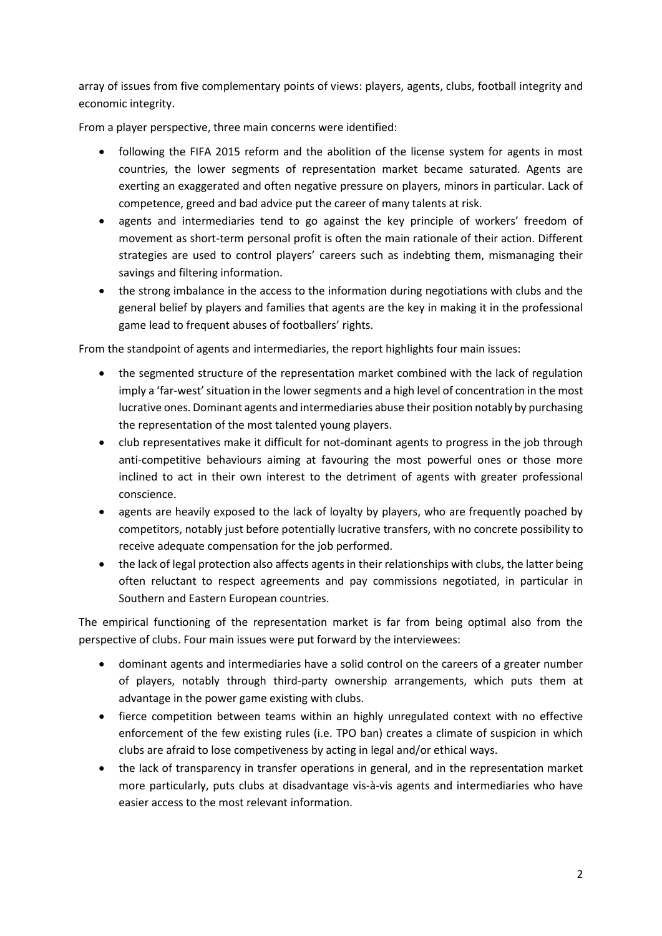array of issues from five complementary points of views: players, agents, clubs, football integrity and economic integrity.

From a player perspective, three main concerns were identified:

- following the FIFA 2015 reform and the abolition of the license system for agents in most countries, the lower segments of representation market became saturated. Agents are exerting an exaggerated and often negative pressure on players, minors in particular. Lack of competence, greed and bad advice put the career of many talents at risk.
- agents and intermediaries tend to go against the key principle of workers' freedom of movement as short-term personal profit is often the main rationale of their action. Different strategies are used to control players' careers such as indebting them, mismanaging their savings and filtering information.
- the strong imbalance in the access to the information during negotiations with clubs and the general belief by players and families that agents are the key in making it in the professional game lead to frequent abuses of footballers' rights.

From the standpoint of agents and intermediaries, the report highlights four main issues:

- the segmented structure of the representation market combined with the lack of regulation imply a 'far-west' situation in the lower segments and a high level of concentration in the most lucrative ones. Dominant agents and intermediaries abuse their position notably by purchasing the representation of the most talented young players.
- club representatives make it difficult for not-dominant agents to progress in the job through anti-competitive behaviours aiming at favouring the most powerful ones or those more inclined to act in their own interest to the detriment of agents with greater professional conscience.
- agents are heavily exposed to the lack of loyalty by players, who are frequently poached by competitors, notably just before potentially lucrative transfers, with no concrete possibility to receive adequate compensation for the job performed.
- the lack of legal protection also affects agents in their relationships with clubs, the latter being often reluctant to respect agreements and pay commissions negotiated, in particular in Southern and Eastern European countries.

The empirical functioning of the representation market is far from being optimal also from the perspective of clubs. Four main issues were put forward by the interviewees:

- dominant agents and intermediaries have a solid control on the careers of a greater number of players, notably through third-party ownership arrangements, which puts them at advantage in the power game existing with clubs.
- fierce competition between teams within an highly unregulated context with no effective enforcement of the few existing rules (i.e. TPO ban) creates a climate of suspicion in which clubs are afraid to lose competiveness by acting in legal and/or ethical ways.
- the lack of transparency in transfer operations in general, and in the representation market more particularly, puts clubs at disadvantage vis-à-vis agents and intermediaries who have easier access to the most relevant information.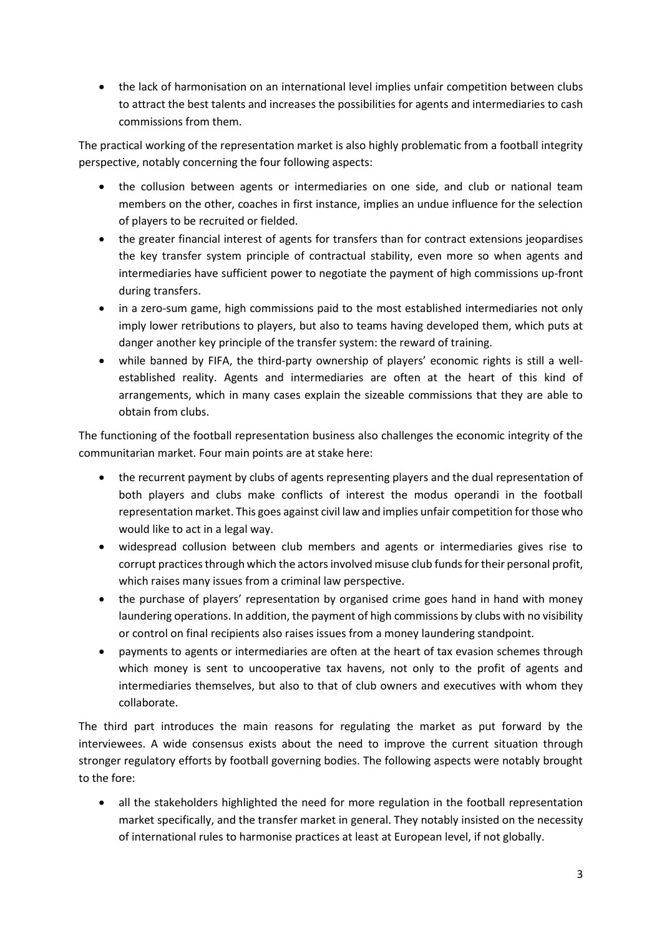the lack of harmonisation on an international level implies unfair competition between clubs to attract the best talents and increases the possibilities for agents and intermediaries to cash commissions from them.

The practical working of the representation market is also highly problematic from a football integrity perspective, notably concerning the four following aspects:

- the collusion between agents or intermediaries on one side, and club or national team members on the other, coaches in first instance, implies an undue influence for the selection of players to be recruited or fielded.
- the greater financial interest of agents for transfers than for contract extensions jeopardises the key transfer system principle of contractual stability, even more so when agents and intermediaries have sufficient power to negotiate the payment of high commissions up-front during transfers.
- in a zero-sum game, high commissions paid to the most established intermediaries not only imply lower retributions to players, but also to teams having developed them, which puts at danger another key principle of the transfer system: the reward of training.
- while banned by FIFA, the third-party ownership of players' economic rights is still a wellestablished reality. Agents and intermediaries are often at the heart of this kind of arrangements, which in many cases explain the sizeable commissions that they are able to obtain from clubs.

The functioning of the football representation business also challenges the economic integrity of the communitarian market. Four main points are at stake here:

- the recurrent payment by clubs of agents representing players and the dual representation of both players and clubs make conflicts of interest the modus operandi in the football representation market. This goes against civil law and implies unfair competition for those who would like to act in a legal way.
- widespread collusion between club members and agents or intermediaries gives rise to corrupt practices through which the actors involved misuse club funds for their personal profit, which raises many issues from a criminal law perspective.
- the purchase of players' representation by organised crime goes hand in hand with money laundering operations. In addition, the payment of high commissions by clubs with no visibility or control on final recipients also raises issues from a money laundering standpoint.
- payments to agents or intermediaries are often at the heart of tax evasion schemes through which money is sent to uncooperative tax havens, not only to the profit of agents and intermediaries themselves, but also to that of club owners and executives with whom they collaborate.

The third part introduces the main reasons for regulating the market as put forward by the interviewees. A wide consensus exists about the need to improve the current situation through stronger regulatory efforts by football governing bodies. The following aspects were notably brought to the fore:

 all the stakeholders highlighted the need for more regulation in the football representation market specifically, and the transfer market in general. They notably insisted on the necessity of international rules to harmonise practices at least at European level, if not globally.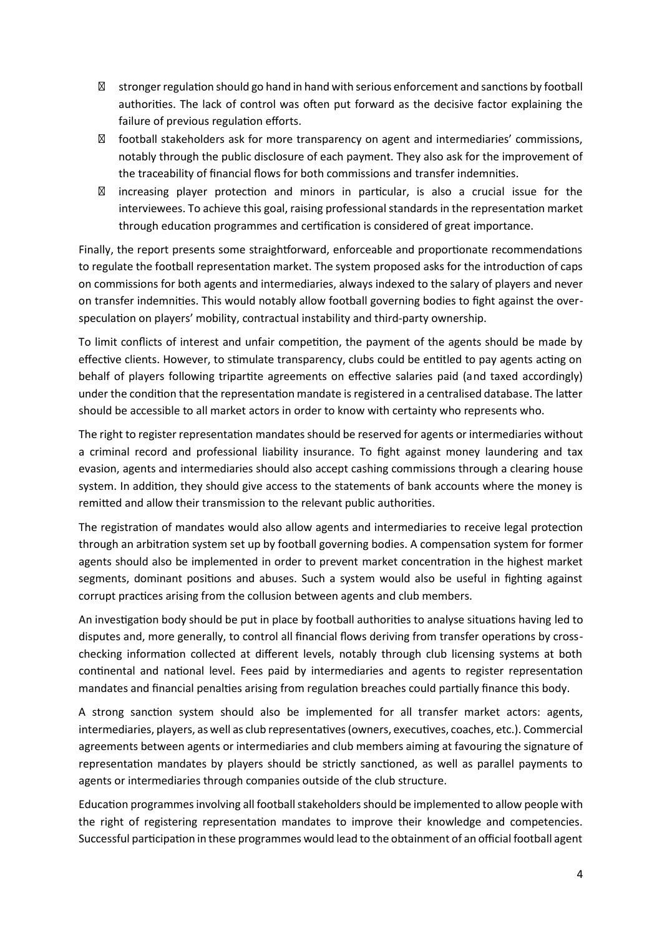stronger regulation should go hand in hand with serious enforcement and sanctions by football authorities. The lack of control was often put forward as the decisive factor explaining the failure of previous regulation efforts.

football stakeholders ask for more transparency on agent and intermediaries' commissions, notably through the public disclosure of each payment. They also ask for the improvement of the traceability of financial flows for both commissions and transfer indemnities.

increasing player protection and minors in particular, is also a crucial issue for the interviewees. To achieve this goal, raising professional standards in the representation market through education programmes and certification is considered of great importance.

Finally, the report presents some straightforward, enforceable and proportionate recommendations to regulate the football representation market. The system proposed asks for the introduction of caps on commissions for both agents and intermediaries, always indexed to the salary of players and never on transfer indemnities. This would notably allow football governing bodies to fight against the overspeculation on players' mobility, contractual instability and third-party ownership.

To limit conflicts of interest and unfair competition, the payment of the agents should be made by effective clients. However, to stimulate transparency, clubs could be entitled to pay agents acting on behalf of players following tripartite agreements on effective salaries paid (and taxed accordingly) under the condition that the representation mandate is registered in a centralised database. The latter should be accessible to all market actors in order to know with certainty who represents who.

The right to register representation mandates should be reserved for agents or intermediaries without a criminal record and professional liability insurance. To fight against money laundering and tax evasion, agents and intermediaries should also accept cashing commissions through a clearing house system. In addition, they should give access to the statements of bank accounts where the money is remitted and allow their transmission to the relevant public authorities.

The registration of mandates would also allow agents and intermediaries to receive legal protection through an arbitration system set up by football governing bodies. A compensation system for former agents should also be implemented in order to prevent market concentration in the highest market segments, dominant positions and abuses. Such a system would also be useful in fighting against corrupt practices arising from the collusion between agents and club members.

An investigation body should be put in place by football authorities to analyse situations having led to disputes and, more generally, to control all financial flows deriving from transfer operations by crosschecking information collected at different levels, notably through club licensing systems at both continental and national level. Fees paid by intermediaries and agents to register representation mandates and financial penalties arising from regulation breaches could partially finance this body.

A strong sanction system should also be implemented for all transfer market actors: agents, intermediaries, players, as well as club representatives(owners, executives, coaches, etc.). Commercial agreements between agents or intermediaries and club members aiming at favouring the signature of representation mandates by players should be strictly sanctioned, as well as parallel payments to agents or intermediaries through companies outside of the club structure.

Education programmes involving all football stakeholders should be implemented to allow people with the right of registering representation mandates to improve their knowledge and competencies. Successful participation in these programmes would lead to the obtainment of an official football agent